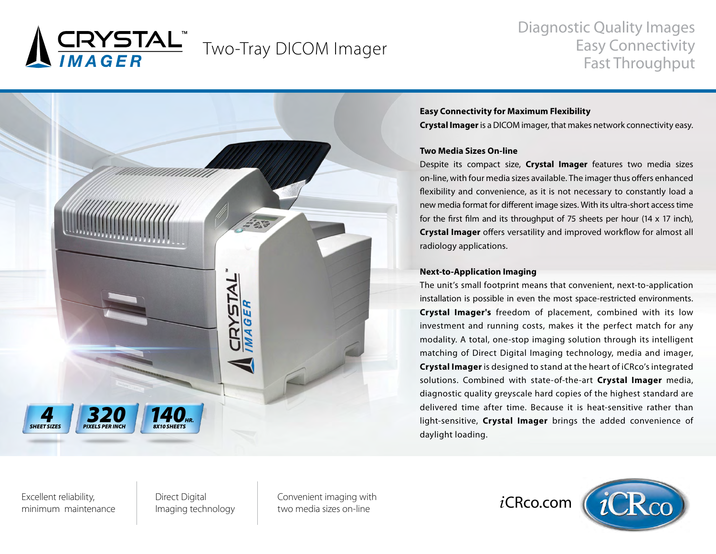

# Diagnostic Quality Images Easy Connectivity Fast Throughput



## **Easy Connectivity for Maximum Flexibility**

**Crystal Imager** is a DICOM imager, that makes network connectivity easy.

#### **Two Media Sizes On-line**

Despite its compact size, **Crystal Imager** features two media sizes on-line, with four media sizes available. The imager thus offers enhanced flexibility and convenience, as it is not necessary to constantly load a new media format for different image sizes. With its ultra-short access time for the first film and its throughput of 75 sheets per hour (14 x 17 inch), **Crystal Imager** offers versatility and improved workflow for almost all radiology applications.

#### **Next-to-Application Imaging**

The unit's small footprint means that convenient, next-to-application installation is possible in even the most space-restricted environments. **Crystal Imager's** freedom of placement, combined with its low investment and running costs, makes it the perfect match for any modality. A total, one-stop imaging solution through its intelligent matching of Direct Digital Imaging technology, media and imager, **Crystal Imager** is designed to stand at the heart of iCRco's integrated solutions. Combined with state-of-the-art **Crystal Imager** media, diagnostic quality greyscale hard copies of the highest standard are delivered time after time. Because it is heat-sensitive rather than light-sensitive, **Crystal Imager** brings the added convenience of daylight loading.

Excellent reliability, minimum maintenance Direct Digital Imaging technology Convenient imaging with two media sizes on-line

*i*CRco.com